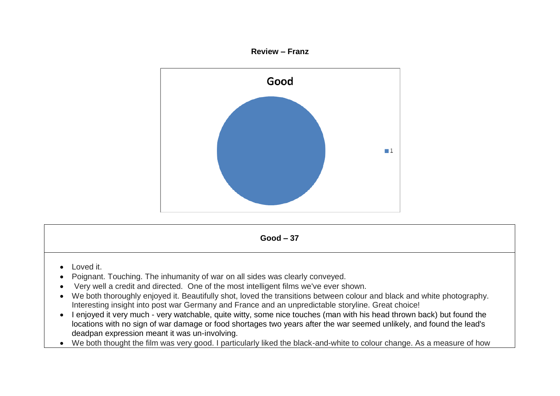